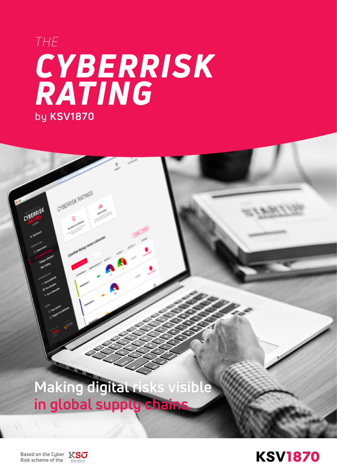# *CYBERRISK RATING* by **KSV1870** *THE*

**Making digital risks visible**  in global supply chair

**Based on the Cyber Risk scheme of the**



CYBERRISK RATINGS

CYBERRISK

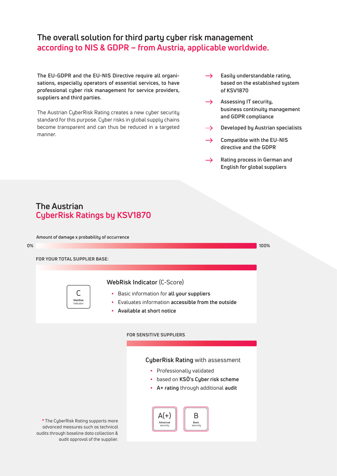## **The overall solution for third party cyber risk management according to NIS & GDPR – from Austria, applicable worldwide.**

**The EU-GDPR and the EU-NIS Directive require all organisations, especially operators of essential services, to have professional cyber risk management for service providers, suppliers and third parties.**

The Austrian CyberRisk Rating creates a new cyber security standard for this purpose. Cyber risks in global supply chains become transparent and can thus be reduced in a targeted manner.

- **Easily understandable rating,**   $\rightarrow$ **based on the established system of KSV1870**
- → Assessing IT security, **business continuity management and GDPR compliance**
- **Developed by Austrian specialists**  $\rightarrow$
- **Compatible with the EU-NIS**   $\rightarrow$ **directive and the GDPR**
- **Rating process in German and**   $\rightarrow$ **English for global suppliers**

## **The Austrian CyberRisk Ratings by KSV1870**

**Amount of damage x probability of occurrence**

#### **0% 100%**

**FOR YOUR TOTAL SUPPLIER BASE:**

| WebRisk<br>Indicator |
|----------------------|
|                      |

#### **WebRisk Indicator** (C-Score)

- Basic information for **all your suppliers**
- Evaluates information **accessible from the outside**
- **Available at short notice**

#### **FOR SENSITIVE SUPPLIERS**

#### **CyberRisk Rating** with assessment

- Professionally validated
- based on **KSÖ's Cyber risk scheme**
- **A+ rating** through additional **audit**



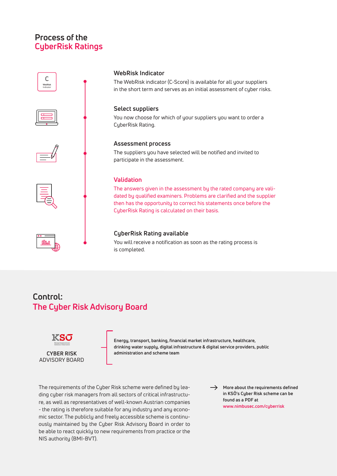# **Process of the CyberRisk Ratings**



# **Control: The Cyber Risk Advisory Board**



ADVISORY BOARD

**Energy, transport, banking, financial market infrastructure, healthcare, drinking water supply, digital infrastructure & digital service providers, public CYBER RISK administration and scheme team**

The requirements of the Cyber Risk scheme were defined by leading cyber risk managers from all sectors of critical infrastructure, as well as representatives of well-known Austrian companies - the rating is therefore suitable for any industry and any economic sector. The publicly and freely accessible scheme is continuously maintained by the Cyber Risk Advisory Board in order to be able to react quickly to new requirements from practice or the NIS authority (BMI-BVT).

 $\rightarrow$  More about the requirements defined **in KSÖ's Cyber Risk scheme can be found as a PDF at www.nimbusec.com/cyberrisk**